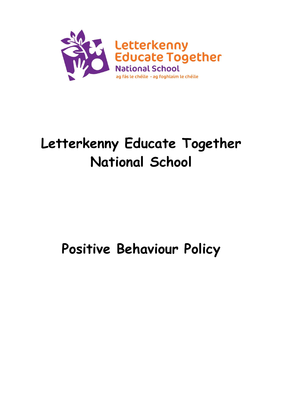

# **Letterkenny Educate Together National School**

# **Positive Behaviour Policy**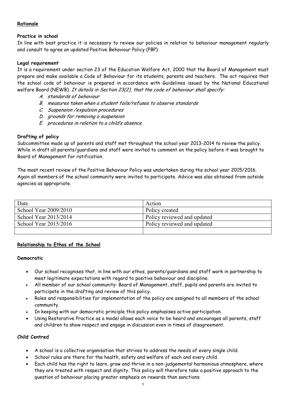# **Rationale**

# **Practice in school**

In line with best practice it is necessary to review our policies in relation to behaviour management regularly and consult to agree an updated Positive Behaviour Policy (PBP)

# **Legal requirement**

It is a requirement under section 23 of the Education Welfare Act, 2000 that the Board of Management must prepare and make available a Code of Behaviour for its students, parents and teachers. The act requires that the school code of behaviour is prepared in accordance with Guidelines issued by the National Educational welfare Board (NEWB). It details in Section 23(2), that the code of behaviour shall specify:

- A. standards of behaviour
- B. measures taken when a student fails/refuses to observe standards
- C. Suspension /expulsion procedures
- D. grounds for removing a suspension
- E. procedures in relation to a child's absence

# **Drafting of policy**

Subcommittee made up of parents and staff met throughout the school year 2013-2014 to review the policy. While in draft all parents/guardians and staff were invited to comment on the policy before it was brought to Board of Management for ratification.

The most recent review of the Positive Behaviour Policy was undertaken during the school year 2015/2016. Again all members of the school community were invited to participate. Advice was also obtained from outside agencies as appropriate.

| Date                  | Action                      |
|-----------------------|-----------------------------|
| School Year 2009/2010 | Policy created              |
| School Year 2013/2014 | Policy reviewed and updated |
| School Year 2015/2016 | Policy reviewed and updated |
|                       |                             |

# **Relationship to Ethos of the School**

# **Democratic**

- Our school recognises that, in line with our ethos, parents/guardians and staff work in partnership to meet legitimate expectations with regard to positive behaviour and discipline.
- All member of our school community: Board of Management, staff, pupils and parents are invited to participate in the drafting and review of this policy.
- Roles and responsibilities for implementation of the policy are assigned to all members of the school community.
- In keeping with our democratic principle this policy emphasises active participation.
- Using Restorative Practice as a model allows each voice to be heard and encourages all parents, staff and children to show respect and engage in discussion even in times of disagreement.

# **Child Centred**

- A school is a collective organisation that strives to address the needs of every single child.
- School rules are there for the health, safety and welfare of each and every child.
- Each child has the right to learn, grow and thrive in a non-judgemental harmonious atmosphere, where they are treated with respect and dignity. This policy will therefore take a positive approach to the question of behaviour placing greater emphasis on rewards than sanctions.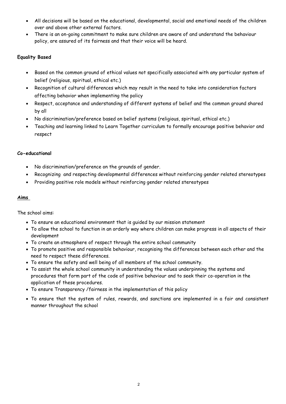- All decisions will be based on the educational, developmental, social and emotional needs of the children over and above other external factors.
- There is an on-going commitment to make sure children are aware of and understand the behaviour policy, are assured of its fairness and that their voice will be heard.

# **Equality Based**

- Based on the common ground of ethical values not specifically associated with any particular system of belief (religious, spiritual, ethical etc.)
- Recognition of cultural differences which may result in the need to take into consideration factors affecting behavior when implementing the policy
- Respect, acceptance and understanding of different systems of belief and the common ground shared by all
- No discrimination/preference based on belief systems (religious, spiritual, ethical etc.)
- Teaching and learning linked to Learn Together curriculum to formally encourage positive behavior and respect

# **Co-educational**

- No discrimination/preference on the grounds of gender.
- Recognizing and respecting developmental differences without reinforcing gender related stereotypes
- Providing positive role models without reinforcing gender related stereotypes

# **Aims**

The school aims:

- To ensure an educational environment that is guided by our mission statement
- To allow the school to function in an orderly way where children can make progress in all aspects of their development
- To create an atmosphere of respect through the entire school community
- To promote positive and responsible behaviour, recognising the differences between each other and the need to respect these differences.
- To ensure the safety and well being of all members of the school community.
- To assist the whole school community in understanding the values underpinning the systems and procedures that form part of the code of positive behaviour and to seek their co-operation in the application of these procedures.
- To ensure Transparency /fairness in the implementation of this policy
- To ensure that the system of rules, rewards, and sanctions are implemented in a fair and consistent manner throughout the school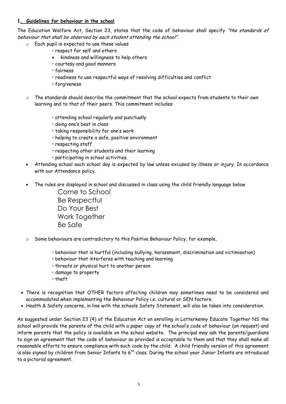# **1. Guidelines for behaviour in the school**

The Education Welfare Act, Section 23, states that the code of behaviour shall specify "the standards of behaviour that shall be observed by each student attending the school".

- o Each pupil is expected to use these values
	- respect for self and others
	- kindness and willingness to help others
	- courtesy and good manners
	- fairness
	- readiness to use respectful ways of resolving difficulties and conflict
	- forgiveness
- o The standards should describe the commitment that the school expects from students to their own learning and to that of their peers. This commitment includes:
	- attending school regularly and punctually
	- doing one's best in class
	- taking responsibility for one's work
	- helping to create a safe, positive environment
	- respecting staff
	- respecting other students and their learning
	- participating in school activities.
- Attending school each school day is expected by law unless excused by illness or injury. In accordance with our Attendance policy.
- The rules are displayed in school and discussed in class using the child friendly language below

Come to School Be Respectful Do Your Best Work Together Be Safe

- Some behaviours are contradictory to this Positive Behaviour Policy, for example,
	- behaviour that is hurtful (including bullying, harassment, discrimination and victimisation)
	- behaviour that interferes with teaching and learning
	- threats or physical hurt to another person
	- damage to property
	- theft
- There is recognition that OTHER factors affecting children may sometimes need to be considered and accommodated when implementing the Behaviour Policy i.e. cultural or SEN factors.
- Health & Safety concerns, in line with the schools Safety Statement, will also be taken into consideration.

As suggested under Section 23 (4) of the Education Act on enrolling in Letterkenny Educate Together NS the school will provide the parents of the child with a paper copy of the school's code of behaviour (on request) and inform parents that the policy is available on the school website. The principal may ask the parents/guardians to sign an agreement that the code of behaviour so provided is acceptable to them and that they shall make all reasonable efforts to ensure compliance with such code by the child. A child friendly version of this agreement is also signed by children from Senior Infants to  $6<sup>th</sup>$  class. During the school year Junior Infants are introduced to a pictorial agreement.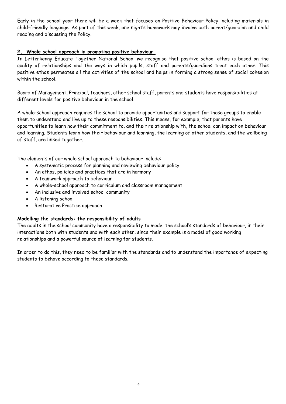Early in the school year there will be a week that focuses on Positive Behaviour Policy including materials in child-friendly language. As part of this week, one night's homework may involve both parent/guardian and child reading and discussing the Policy.

# **2. Whole school approach in promoting positive behaviour**

In Letterkenny Educate Together National School we recognise that positive school ethos is based on the quality of relationships and the ways in which pupils, staff and parents/guardians treat each other. This positive ethos permeates all the activities of the school and helps in forming a strong sense of social cohesion within the school.

Board of Management, Principal, teachers, other school staff, parents and students have responsibilities at different levels for positive behaviour in the school.

A whole-school approach requires the school to provide opportunities and support for these groups to enable them to understand and live up to these responsibilities. This means, for example, that parents have opportunities to learn how their commitment to, and their relationship with, the school can impact on behaviour and learning. Students learn how their behaviour and learning, the learning of other students, and the wellbeing of staff, are linked together.

The elements of our whole school approach to behaviour include:

- A systematic process for planning and reviewing behaviour policy
- An ethos, policies and practices that are in harmony
- A teamwork approach to behaviour
- A whole-school approach to curriculum and classroom management
- An inclusive and involved school community
- A listening school
- Restorative Practice approach

# **Modelling the standards: the responsibility of adults**

The adults in the school community have a responsibility to model the school's standards of behaviour, in their interactions both with students and with each other, since their example is a model of good working relationships and a powerful source of learning for students.

In order to do this, they need to be familiar with the standards and to understand the importance of expecting students to behave according to these standards.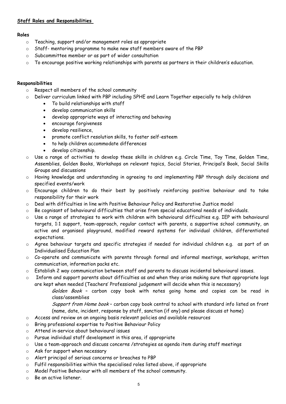# **Staff Roles and Responsibilities**

# **Roles**

- o Teaching, support and/or management roles as appropriate
- o Staff- mentoring programme to make new staff members aware of the PBP
- o Subcommittee member or as part of wider consultation
- o To encourage positive working relationships with parents as partners in their children's education.

# **Responsibilities**

- o Respect all members of the school community
- Deliver curriculum linked with PBP including SPHE and Learn Together especially to help children
	- To build relationships with staff
	- develop communication skills
	- develop appropriate ways of interacting and behaving
	- encourage forgiveness
	- develop resilience,
	- promote conflict resolution skills, to foster self-esteem
	- to help children accommodate differences
	- develop citizenship.
- o Use a range of activities to develop these skills in children e.g. Circle Time, Toy Time, Golden Time, Assemblies, Golden Books, Workshops on relevant topics, Social Stories, Principal's Book, Social Skills Groups and discussions
- o Having knowledge and understanding in agreeing to and implementing PBP through daily decisions and specified events/work
- o Encourage children to do their best by positively reinforcing positive behaviour and to take responsibility for their work
- o Deal with difficulties in line with Positive Behaviour Policy and Restorative Justice model
- o Be cognisant of behavioural difficulties that arise from special educational needs of individuals.
- o Use a range of strategies to work with children with behavioural difficulties e.g. IEP with behavioural targets, 1:1 support, team-approach, regular contact with parents, a supportive school community, an active and organised playground, modified reward systems for individual children, differentiated expectations.
- o Agree behaviour targets and specific strategies if needed for individual children e.g. as part of an Individualised Education Plan
- $\circ$  Co-operate and communicate with parents through formal and informal meetings, workshops, written communication, information packs etc.
- o Establish 2 way communication between staff and parents to discuss incidental behavioural issues.
- o Inform and support parents about difficulties as and when they arise making sure that appropriate logs are kept when needed (Teachers' Professional judgement will decide when this is necessary)

Golden Book - carbon copy book with notes going home and copies can be read in class/assemblies

Support from Home book - carbon copy book central to school with standard info listed on front (name, date, incident, response by staff, sanction (if any) and please discuss at home)

- o Access and review on an ongoing basis relevant policies and available resources
- o Bring professional expertise to Positive Behaviour Policy
- o Attend in-service about behavioural issues
- o Pursue individual staff development in this area, if appropriate
- o Use a team-approach and discuss concerns /strategies as agenda item during staff meetings
- o Ask for support when necessary
- o Alert principal of serious concerns or breaches to PBP
- o Fulfil responsibilities within the specialised roles listed above, if appropriate
- o Model Positive Behaviour with all members of the school community.
- o Be an active listener.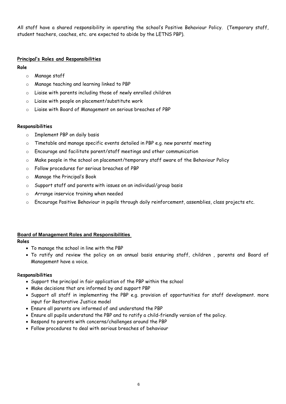All staff have a shared responsibility in operating the school's Positive Behaviour Policy. (Temporary staff, student teachers, coaches, etc. are expected to abide by the LETNS PBP).

# **Principal's Roles and Responsibilities**

# **Role**

- o Manage staff
- o Manage teaching and learning linked to PBP
- o Liaise with parents including those of newly enrolled children
- o Liaise with people on placement/substitute work
- o Liaise with Board of Management on serious breaches of PBP

# **Responsibilities**

- o Implement PBP on daily basis
- o Timetable and manage specific events detailed in PBP e.g. new parents' meeting
- o Encourage and facilitate parent/staff meetings and other communication
- o Make people in the school on placement/temporary staff aware of the Behaviour Policy
- o Follow procedures for serious breaches of PBP
- o Manage the Principal's Book
- o Support staff and parents with issues on an individual/group basis
- o Arrange inservice training when needed
- o Encourage Positive Behaviour in pupils through daily reinforcement, assemblies, class projects etc.

# **Board of Management Roles and Responsibilities**

# **Roles**

- To manage the school in line with the PBP
- To ratify and review the policy on an annual basis ensuring staff, children , parents and Board of Management have a voice.

# R**esponsibilities**

- Support the principal in fair application of the PBP within the school
- Make decisions that are informed by and support PBP
- Support all staff in implementing the PBP e.g. provision of opportunities for staff development. more input for Restorative Justice model
- Ensure all parents are informed of and understand the PBP
- Ensure all pupils understand the PBP and to ratify a child-friendly version of the policy.
- Respond to parents with concerns/challenges around the PBP
- Follow procedures to deal with serious breaches of behaviour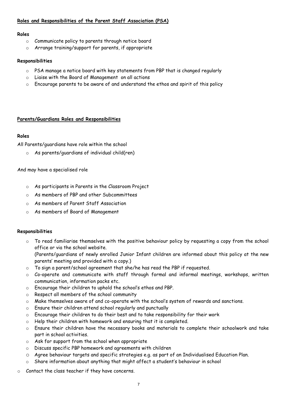# **Roles and Responsibilities of the Parent Staff Association (PSA)**

#### **Roles**

- o Communicate policy to parents through notice board
- o Arrange training/support for parents, if appropriate

#### **Responsibilities**

- o PSA manage a notice board with key statements from PBP that is changed regularly
- o Liaise with the Board of Management on all actions
- o Encourage parents to be aware of and understand the ethos and spirit of this policy

# **Parents/Guardians Roles and Responsibilities**

# **Roles**

All Parents/guardians have role within the school

o As parents/guardians of individual child(ren)

#### And may have a specialised role

- o As participants in Parents in the Classroom Project
- o As members of PBP and other Subcommittees
- o As members of Parent Staff Association
- o As members of Board of Management

#### **Responsibilities**

To read familiarise themselves with the positive behaviour policy by requesting a copy from the school office or via the school website.

(Parents/guardians of newly enrolled Junior Infant children are informed about this policy at the new parents' meeting and provided with a copy.)

- $\circ$  To sign a parent/school agreement that she/he has read the PBP if requested.
- Co-operate and communicate with staff through formal and informal meetings, workshops, written communication, information packs etc.
- o Encourage their children to uphold the school's ethos and PBP.
- o Respect all members of the school community
- o Make themselves aware of and co-operate with the school's system of rewards and sanctions.
- o Ensure their children attend school regularly and punctually
- o Encourage their children to do their best and to take responsibility for their work
- o Help their children with homework and ensuring that it is completed.
- o Ensure their children have the necessary books and materials to complete their schoolwork and take part in school activities.
- o Ask for support from the school when appropriate
- o Discuss specific PBP homework and agreements with children
- o Agree behaviour targets and specific strategies e.g. as part of an Individualised Education Plan.
- o Share information about anything that might affect a student's behaviour in school
- o Contact the class teacher if they have concerns.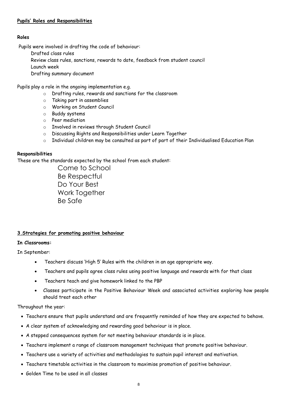# **Pupils' Roles and Responsibilities**

# **Roles**

Pupils were involved in drafting the code of behaviour:

- Drafted class rules
- Review class rules, sanctions, rewards to date, feedback from student council

Launch week

Drafting summary document

Pupils play a role in the ongoing implementation e.g.

- o Drafting rules, rewards and sanctions for the classroom
- o Taking part in assemblies
- o Working on Student Council
- o Buddy systems
- o Peer mediation
- o Involved in reviews through Student Council
- o Discussing Rights and Responsibilities under Learn Together
- o Individual children may be consulted as part of part of their Individualised Education Plan

#### **Responsibilities**

These are the standards expected by the school from each student:

Come to School Be Respectful Do Your Best Work Together Be Safe

# **3.Strategies for promoting positive behaviour**

# **In Classrooms:**

In September:

- Teachers discuss 'High 5' Rules with the children in an age appropriate way.
- Teachers and pupils agree class rules using positive language and rewards with for that class
- Teachers teach and give homework linked to the PBP
- Classes participate in the Positive Behaviour Week and associated activities exploring how people should treat each other

# Throughout the year:

- Teachers ensure that pupils understand and are frequently reminded of how they are expected to behave.
- A clear system of acknowledging and rewarding good behaviour is in place.
- A stepped consequences system for not meeting behaviour standards is in place.
- Teachers implement a range of classroom management techniques that promote positive behaviour.
- Teachers use a variety of activities and methodologies to sustain pupil interest and motivation.
- Teachers timetable activities in the classroom to maximise promotion of positive behaviour.
- Golden Time to be used in all classes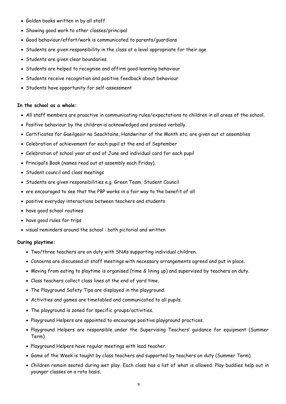- Golden books written in by all staff
- Showing good work to other classes/principal
- Good behaviour/effort/work is communicated to parents/guardians
- Students are given responsibility in the class at a level appropriate for their age
- Students are given clear boundaries
- Students are helped to recognise and affirm good learning behaviour
- Students receive recognition and positive feedback about behaviour
- Students have opportunity for self-assessment

#### **In the school as a whole:**

- All staff members are proactive in communicating rules/expectations to children in all areas of the school.
- Positive behaviour by the children is acknowledged and praised verbally.
- Certificates for Gaeilgeoir na Seachtaine, Handwriter of the Month etc. are given out at assemblies
- Celebration of achievement for each pupil at the end of September
- Celebration of school year at end of June and individual card for each pupil
- Principal's Book (names read out at assembly each Friday).
- Student council and class meetings
- Students are given responsibilities e.g. Green Team, Student Council
- are encouraged to see that the PBP works in a fair way to the benefit of all
- positive everyday interactions between teachers and students
- have good school routines
- have good rules for trips
- visual reminders around the school : both pictorial and written

#### **During playtime:**

- Two/three teachers are on duty with SNAs supporting individual children.
- Concerns are discussed at staff meetings with necessary arrangements agreed and put in place.
- Moving from eating to playtime is organised (time & lining up) and supervised by teachers on duty.
- Class teachers collect class lines at the end of yard time.
- The Playground Safety Tips are displayed in the playground.
- Activities and games are timetabled and communicated to all pupils.
- The playground is zoned for specific groups/activities.
- Playground Helpers are appointed to encourage positive playground practices.
- Playground Helpers are responsible under the Supervising Teachers' guidance for equipment (Summer Term).
- Playground Helpers have regular meetings with lead teacher.
- Game of the Week is taught by class teachers and supported by teachers on duty (Summer Term).
- Children remain seated during wet play. Each class has a list of what is allowed. Play buddies help out in younger classes on a rota basis.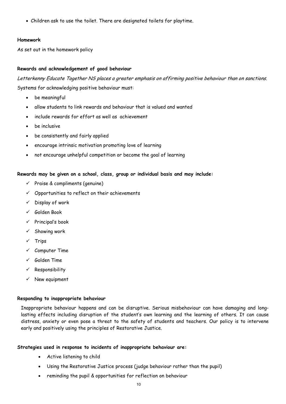Children ask to use the toilet. There are designated toilets for playtime.

#### **Homework**

As set out in the homework policy

# **Rewards and acknowledgement of good behaviour**

Letterkenny Educate Together NS places a greater emphasis on affirming positive behaviour than on sanctions. Systems for acknowledging positive behaviour must:

- be meaningful
- allow students to link rewards and behaviour that is valued and wanted
- include rewards for effort as well as achievement
- be inclusive
- be consistently and fairly applied
- encourage intrinsic motivation promoting love of learning
- not encourage unhelpful competition or become the goal of learning

# **Rewards may be given on a school, class, group or individual basis and may include:**

- $\checkmark$  Praise & compliments (genuine)
- $\checkmark$  Opportunities to reflect on their achievements
- $\checkmark$  Display of work
- Golden Book
- $\checkmark$  Principal's book
- $\checkmark$  Showing work
- $\checkmark$  Trips
- $\checkmark$  Computer Time
- $\checkmark$  Golden Time
- $\checkmark$  Responsibility
- $\checkmark$  New equipment

#### **Responding to inappropriate behaviour**

Inappropriate behaviour happens and can be disruptive. Serious misbehaviour can have damaging and longlasting effects including disruption of the student's own learning and the learning of others. It can cause distress, anxiety or even pose a threat to the safety of students and teachers. Our policy is to intervene early and positively using the principles of Restorative Justice.

# **Strategies used in response to incidents of inappropriate behaviour are:**

- Active listening to child
- Using the Restorative Justice process (judge behaviour rather than the pupil)
- reminding the pupil & opportunities for reflection on behaviour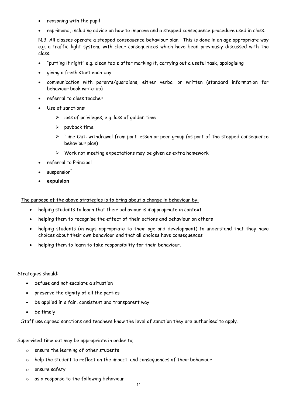- reasoning with the pupil
- reprimand, including advice on how to improve and a stepped consequence procedure used in class.

N.B. All classes operate a stepped consequence behaviour plan. This is done in an age appropriate way e.g. a traffic light system, with clear consequences which have been previously discussed with the class.

- "putting it right" e.g. clean table after marking it, carrying out a useful task, apologising
- giving a fresh start each day
- communication with parents/guardians, either verbal or written (standard information for behaviour book write-up)
- referral to class teacher
- Use of sanctions:
	- $\triangleright$  loss of privileges, e.g. loss of golden time
	- $\triangleright$  payback time
	- $\triangleright$  Time Out: withdrawal from part lesson or peer group (as part of the stepped consequence behaviour plan)
	- $\triangleright$  Work not meeting expectations may be given as extra homework
- referral to Principal
- suspension<sup>\*</sup>
- **expulsion**

The purpose of the above strategies is to bring about a change in behaviour by:

- helping students to learn that their behaviour is inappropriate in context
- helping them to recognise the effect of their actions and behaviour on others
- helping students (in ways appropriate to their age and development) to understand that they have choices about their own behaviour and that all choices have consequences
- helping them to learn to take responsibility for their behaviour.

Strategies should:

- defuse and not escalate a situation
- preserve the dignity of all the parties
- be applied in a fair, consistent and transparent way
- be timely

Staff use agreed sanctions and teachers know the level of sanction they are authorised to apply.

#### Supervised time out may be appropriate in order to;

- o ensure the learning of other students
- o help the student to reflect on the impact and consequences of their behaviour
- o ensure safety
- o as a response to the following behaviour: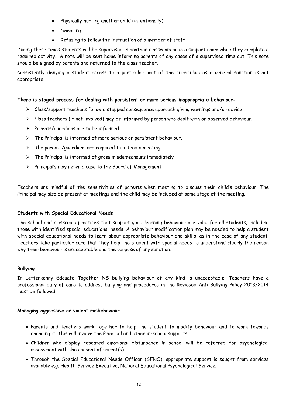- Physically hurting another child (intentionally)
- Swearing
- Refusing to follow the instruction of a member of staff

During these times students will be supervised in another classroom or in a support room while they complete a required activity. A note will be sent home informing parents of any cases of a supervised time out. This note should be signed by parents and returned to the class teacher.

Consistently denying a student access to a particular part of the curriculum as a general sanction is not appropriate.

# **There is staged process for dealing with persistent or more serious inappropriate behaviour:**

- Class/support teachers follow a stepped consequence approach giving warnings and/or advice.
- $\triangleright$  Class teachers (if not involved) may be informed by person who dealt with or observed behaviour.
- $\triangleright$  Parents/quardians are to be informed.
- $\triangleright$  The Principal is informed of more serious or persistent behaviour.
- $\triangleright$  The parents/guardians are required to attend a meeting.
- $\triangleright$  The Principal is informed of gross misdemeanours immediately
- $\triangleright$  Principal's may refer a case to the Board of Management

Teachers are mindful of the sensitivities of parents when meeting to discuss their child's behaviour. The Principal may also be present at meetings and the child may be included at some stage of the meeting.

#### **Students with Special Educational Needs**

The school and classroom practices that support good learning behaviour are valid for all students, including those with identified special educational needs. A behaviour modification plan may be needed to help a student with special educational needs to learn about appropriate behaviour and skills, as in the case of any student. Teachers take particular care that they help the student with special needs to understand clearly the reason why their behaviour is unacceptable and the purpose of any sanction.

#### **Bullying**

In Letterkenny Edcuate Together NS bullying behaviour of any kind is unacceptable. Teachers have a professional duty of care to address bullying and procedures in the Reviesed Anti-Bullying Policy 2013/2014 must be followed.

#### **Managing aggressive or violent misbehaviour**

- Parents and teachers work together to help the student to modify behaviour and to work towards changing it. This will involve the Principal and other in-school supports.
- Children who display repeated emotional disturbance in school will be referred for psychological assessment with the consent of parent(s).
- Through the Special Educational Needs Officer (SENO), appropriate support is sought from services available e.g. Health Service Executive, National Educational Psychological Service.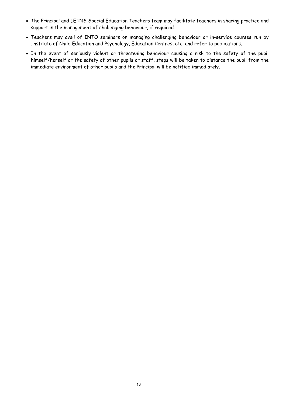- The Principal and LETNS Special Education Teachers team may facilitate teachers in sharing practice and support in the management of challenging behaviour, if required.
- Teachers may avail of INTO seminars on managing challenging behaviour or in-service courses run by Institute of Child Education and Psychology, Education Centres, etc. and refer to publications.
- . In the event of seriously violent or threatening behaviour causing a risk to the safety of the pupil himself/herself or the safety of other pupils or staff, steps will be taken to distance the pupil from the immediate environment of other pupils and the Principal will be notified immediately.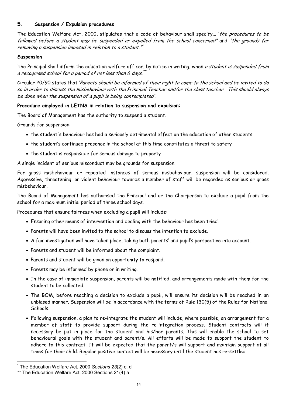# **5. Suspension / Expulsion procedures**

The Education Welfare Act, 2000, stipulates that a code of behaviour shall specify... 'the procedures to be followed before a student may be suspended or expelled from the school concerned" and "the grounds for removing a suspension imposed in relation to a student."\*

#### **Suspension**

The Principal shall inform the education welfare officer, by notice in writing, when a student is suspended from a recognised school for a period of not less than 6 days.<sup>\*</sup>\*

Circular 20/90 states that 'Parents should be informed of their right to come to the school and be invited to do so in order to discuss the misbehaviour with the Principal Teacher and/or the class teacher. This should always be done when the suspension of a pupil is being contemplated'.

#### **Procedure employed in LETNS in relation to suspension and expulsion:**

The Board of Management has the authority to suspend a student.

Grounds for suspension:

- the student's behaviour has had a seriously detrimental effect on the education of other students.
- the student's continued presence in the school at this time constitutes a threat to safety
- the student is responsible for serious damage to property

A single incident of serious misconduct may be grounds for suspension.

For gross misbehaviour or repeated instances of serious misbehaviour, suspension will be considered. Aggressive, threatening, or violent behaviour towards a member of staff will be regarded as serious or gross misbehaviour.

The Board of Management has authorised the Principal and or the Chairperson to exclude a pupil from the school for a maximum initial period of three school days.

Procedures that ensure fairness when excluding a pupil will include:

- Ensuring other means of intervention and dealing with the behaviour has been tried.
- Parents will have been invited to the school to discuss the intention to exclude.
- A fair investigation will have taken place, taking both parents' and pupil's perspective into account.
- Parents and student will be informed about the complaint.
- Parents and student will be given an opportunity to respond.
- Parents may be informed by phone or in writing.
- In the case of immediate suspension, parents will be notified, and arrangements made with them for the student to be collected.
- The BOM, before reaching a decision to exclude a pupil, will ensure its decision will be reached in an unbiased manner. Suspension will be in accordance with the terms of Rule 130(5) of the Rules for National Schools.
- Following suspension, a plan to re-integrate the student will include, where possible, an arrangement for a member of staff to provide support during the re-integration process. Student contracts will if necessary be put in place for the student and his/her parents. This will enable the school to set behavioural goals with the student and parent/s. All efforts will be made to support the student to adhere to this contract. It will be expected that the parent/s will support and maintain support at all times for their child. Regular positive contact will be necessary until the student has re-settled.

\* The Education Welfare Act, 2000 *Sections 23*(2) c, d

<sup>\*\*</sup> The Education Welfare Act, 2000 Sections 21(4) a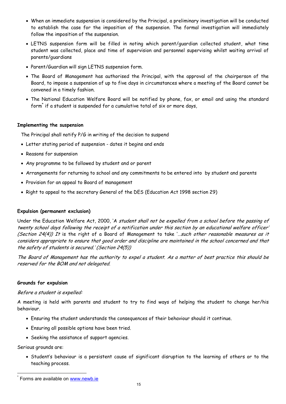- When an immediate suspension is considered by the Principal, a preliminary investigation will be conducted to establish the case for the imposition of the suspension. The formal investigation will immediately follow the imposition of the suspension.
- LETNS suspension form will be filled in noting which parent/guardian collected student, what time student was collected, place and time of supervision and personnel supervising whilst waiting arrival of parents/guardians
- Parent/Guardian will sign LETNS suspension form.
- The Board of Management has authorised the Principal, with the approval of the chairperson of the Board, to impose a suspension of up to five days in circumstances where a meeting of the Board cannot be convened in a timely fashion.
- The National Education Welfare Board will be notified by phone, fax, or email and using the standard form<sup>\*</sup> if a student is suspended for a cumulative total of six or more days,

#### **Implementing the suspension**

The Principal shall notify P/G in writing of the decision to suspend

- Letter stating period of suspension dates it begins and ends
- Reasons for suspension
- Any programme to be followed by student and or parent
- Arrangements for returning to school and any commitments to be entered into by student and parents
- Provision for an appeal to Board of management
- Right to appeal to the secretary General of the DES (Education Act 1998 section 29)

#### **Expulsion (permanent exclusion)**

Under the Education Welfare Act, 2000, 'A student shall not be expelled from a school before the passing of twenty school days following the receipt of a notification under this section by an educational welfare officer' (Section 24(4)) It is the right of a Board of Management to take '... such other reasonable measures as it considers appropriate to ensure that good order and discipline are maintained in the school concerned and that the safety of students is secured.' (Section 24(5))

The Board of Management has the authority to expel a student. As a matter of best practice this should be reserved for the BOM and not delegated.

#### **Grounds for expulsion**

#### Before a student is expelled:

A meeting is held with parents and student to try to find ways of helping the student to change her/his behaviour.

- Ensuring the student understands the consequences of their behaviour should it continue.
- Ensuring all possible options have been tried.
- Seeking the assistance of support agencies.

Serious grounds are:

• Student's behaviour is a persistent cause of significant disruption to the learning of others or to the teaching process.

Forms are available on www.newb.ie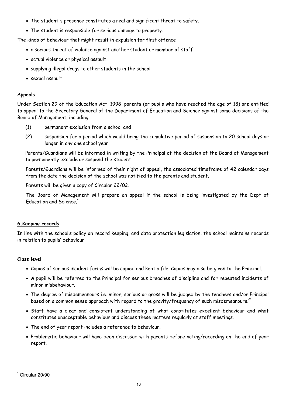- The student's presence constitutes a real and significant threat to safety.
- The student is responsible for serious damage to property.

The kinds of behaviour that might result in expulsion for first offence

- a serious threat of violence against another student or member of staff
- actual violence or physical assault
- supplying illegal drugs to other students in the school
- sexual assault

# **Appeals**

Under Section 29 of the Education Act, 1998, parents (or pupils who have reached the age of 18) are entitled to appeal to the Secretary General of the Department of Education and Science against some decisions of the Board of Management, including:

- (1) permanent exclusion from a school and
- (2) suspension for a period which would bring the cumulative period of suspension to 20 school days or longer in any one school year.

Parents/Guardians will be informed in writing by the Principal of the decision of the Board of Management to permanently exclude or suspend the student .

Parents/Guardians will be informed of their right of appeal, the associated timeframe of 42 calendar days from the date the decision of the school was notified to the parents and student.

Parents will be given a copy of Circular 22/02.

The Board of Management will prepare an appeal if the school is being investigated by the Dept of Education and Science.<sup>\*</sup>

# **6.Keeping records**

In line with the school's policy on record keeping, and data protection legislation, the school maintains records in relation to pupils' behaviour.

# **Class level**

- Copies of serious incident forms will be copied and kept a file. Copies may also be given to the Principal.
- A pupil will be referred to the Principal for serious breaches of discipline and for repeated incidents of minor misbehaviour.
- The degree of misdemeanours i.e. minor, serious or gross will be judged by the teachers and/or Principal based on a common sense approach with regard to the gravity/frequency of such misdemeanours.'\*
- Staff have a clear and consistent understanding of what constitutes excellent behaviour and what constitutes unacceptable behaviour and discuss these matters regularly at staff meetings.
- The end of year report includes a reference to behaviour.
- Problematic behaviour will have been discussed with parents before noting/recording on the end of year report.

 $\overline{a}$ 

Circular 20/90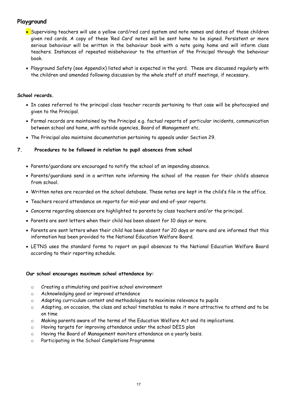# **Playground**

- Supervising teachers will use a yellow card/red card system and note names and dates of those children given red cards. A copy of these 'Red Card' notes will be sent home to be signed. Persistent or more serious behaviour will be written in the behaviour book with a note going home and will inform class teachers. Instances of repeated misbehaviour to the attention of the Principal through the behaviour book.
- Playground Safety (see Appendix) listed what is expected in the yard. These are discussed regularly with the children and amended following discussion by the whole staff at staff meetings, if necessary.

#### **School records.**

- In cases referred to the principal class teacher records pertaining to that case will be photocopied and given to the Principal.
- Formal records are maintained by the Principal e.g. factual reports of particular incidents, communication between school and home, with outside agencies, Board of Management etc.
- The Principal also maintains documentation pertaining to appeals under Section 29.

#### **7. Procedures to be followed in relation to pupil absences from school**

- Parents/guardians are encouraged to notify the school of an impending absence.
- Parents/guardians send in a written note informing the school of the reason for their child's absence from school.
- Written notes are recorded on the school database. These notes are kept in the child's file in the office.
- Teachers record attendance on reports for mid-year and end-of-year reports.
- Concerns regarding absences are highlighted to parents by class teachers and/or the principal.
- Parents are sent letters when their child has been absent for 10 days or more.
- Parents are sent letters when their child has been absent for 20 days or more and are informed that this information has been provided to the National Education Welfare Board.
- LETNS uses the standard forms to report on pupil absences to the National Education Welfare Board according to their reporting schedule.

#### **Our school encourages maximum school attendance by:**

- o Creating a stimulating and positive school environment
- o Acknowledging good or improved attendance
- o Adapting curriculum content and methodologies to maximise relevance to pupils
- $\circ$  Adapting, on occasion, the class and school timetables to make it more attractive to attend and to be on time
- o Making parents aware of the terms of the Education Welfare Act and its implications.
- o Having targets for improving attendance under the school DEIS plan
- o Having the Board of Management monitors attendance on a yearly basis.
- o Participating in the School Completions Programme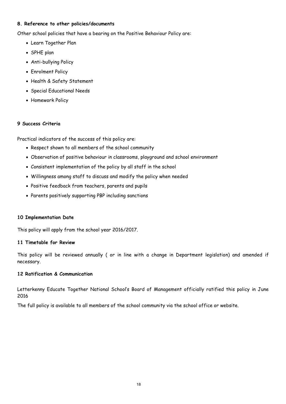# **8. Reference to other policies/documents**

Other school policies that have a bearing on the Positive Behaviour Policy are:

- Learn Together Plan
- SPHE plan
- Anti-bullying Policy
- Enrolment Policy
- Health & Safety Statement
- Special Educational Needs
- Homework Policy

# **9 Success Criteria**

Practical indicators of the success of this policy are:

- Respect shown to all members of the school community
- Observation of positive behaviour in classrooms, playground and school environment
- Consistent implementation of the policy by all staff in the school
- Willingness among staff to discuss and modify the policy when needed
- Positive feedback from teachers, parents and pupils
- Parents positively supporting PBP including sanctions

# **10 Implementation Date**

This policy will apply from the school year 2016/2017.

# **11 Timetable for Review**

This policy will be reviewed annually ( or in line with a change in Department legislation) and amended if necessary.

# **12 Ratification & Communication**

Letterkenny Educate Together National School's Board of Management officially ratified this policy in June 2016

The full policy is available to all members of the school community via the school office or website.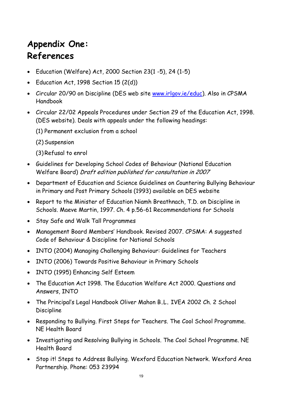# **Appendix One: References**

- Education (Welfare) Act, 2000 Section 23(1 -5), 24 (1-5)
- Education Act, 1998 Section 15 (2(d))
- Circular 20/90 on Discipline (DES web site [www.irlgov.ie/edu](http://www.irlgov.ie/educ)c). Also in CPSMA Handbook
- Circular 22/02 Appeals Procedures under Section 29 of the Education Act, 1998. (DES website). Deals with appeals under the following headings:
	- (1) Permanent exclusion from a school
	- (2)Suspension
	- (3)Refusal to enrol
- Guidelines for Developing School Codes of Behaviour (National Education Welfare Board) Draft edition published for consultation in 2007
- Department of Education and Science Guidelines on Countering Bullying Behaviour in Primary and Post Primary Schools (1993) available on DES website
- Report to the Minister of Education Niamh Breathnach, T.D. on Discipline in Schools. Maeve Martin, 1997. Ch. 4 p.56-61 Recommendations for Schools
- Stay Safe and Walk Tall Programmes
- Management Board Members' Handbook. Revised 2007. CPSMA: A suggested Code of Behaviour & Discipline for National Schools
- INTO (2004) Managing Challenging Behaviour: Guidelines for Teachers
- INTO (2006) Towards Positive Behaviour in Primary Schools
- INTO (1995) Enhancing Self Esteem
- The Education Act 1998. The Education Welfare Act 2000. Questions and Answers, INTO
- The Principal's Legal Handbook Oliver Mahon B**.**L**.** IVEA 2002 Ch. 2 School Discipline
- Responding to Bullying. First Steps for Teachers. The Cool School Programme. NE Health Board
- Investigating and Resolving Bullying in Schools. The Cool School Programme. NE Health Board
- Stop it! Steps to Address Bullying. Wexford Education Network. Wexford Area Partnership. Phone: 053 23994